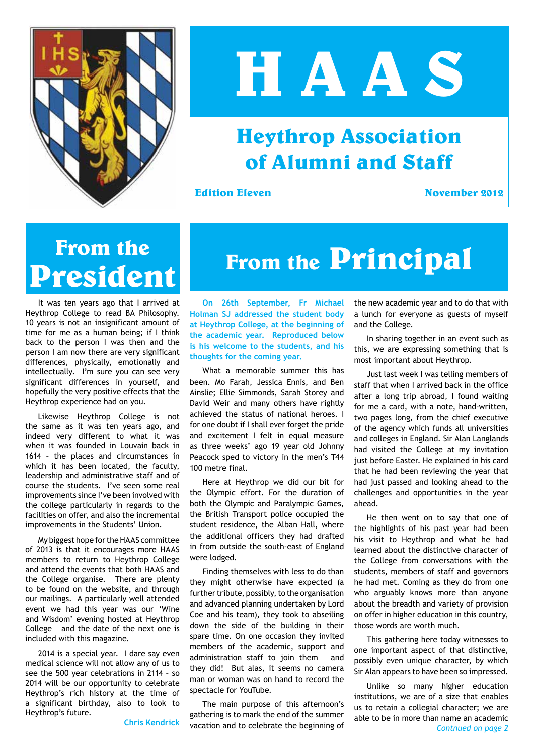

# **H A A S**

#### **Heythrop Association of Alumni and Staff**

**Edition Eleven** November 2012

## **From the**

It was ten years ago that I arrived at Heythrop College to read BA Philosophy. 10 years is not an insignificant amount of time for me as a human being; if I think back to the person I was then and the person I am now there are very significant differences, physically, emotionally and intellectually. I'm sure you can see very significant differences in yourself, and hopefully the very positive effects that the Heythrop experience had on you.

Likewise Heythrop College is not the same as it was ten years ago, and indeed very different to what it was when it was founded in Louvain back in 1614 – the places and circumstances in which it has been located, the faculty, leadership and administrative staff and of course the students. I've seen some real improvements since I've been involved with the college particularly in regards to the facilities on offer, and also the incremental improvements in the Students' Union.

My biggest hope for the HAAS committee of 2013 is that it encourages more HAAS members to return to Heythrop College and attend the events that both HAAS and the College organise. There are plenty to be found on the website, and through our mailings. A particularly well attended event we had this year was our 'Wine and Wisdom' evening hosted at Heythrop College – and the date of the next one is included with this magazine.

2014 is a special year. I dare say even medical science will not allow any of us to see the 500 year celebrations in 2114 – so 2014 will be our opportunity to celebrate Heythrop's rich history at the time of a significant birthday, also to look to Heythrop's future.

**Chris Kendrick**

### **President From the Principal**

**On 26th September, Fr Michael Holman SJ addressed the student body at Heythrop College, at the beginning of the academic year. Reproduced below is his welcome to the students, and his thoughts for the coming year.**

What a memorable summer this has been. Mo Farah, Jessica Ennis, and Ben Ainslie; Ellie Simmonds, Sarah Storey and David Weir and many others have rightly achieved the status of national heroes. I for one doubt if I shall ever forget the pride and excitement I felt in equal measure as three weeks' ago 19 year old Johnny Peacock sped to victory in the men's T44 100 metre final.

Here at Heythrop we did our bit for the Olympic effort. For the duration of both the Olympic and Paralympic Games, the British Transport police occupied the student residence, the Alban Hall, where the additional officers they had drafted in from outside the south-east of England were lodged.

Finding themselves with less to do than they might otherwise have expected (a further tribute, possibly, to the organisation and advanced planning undertaken by Lord Coe and his team), they took to abseiling down the side of the building in their spare time. On one occasion they invited members of the academic, support and administration staff to join them - and they did! But alas, it seems no camera man or woman was on hand to record the spectacle for YouTube.

The main purpose of this afternoon's gathering is to mark the end of the summer vacation and to celebrate the beginning of the new academic year and to do that with a lunch for everyone as guests of myself and the College.

In sharing together in an event such as this, we are expressing something that is most important about Heythrop.

Just last week I was telling members of staff that when I arrived back in the office after a long trip abroad, I found waiting for me a card, with a note, hand-written, two pages long, from the chief executive of the agency which funds all universities and colleges in England. Sir Alan Langlands had visited the College at my invitation just before Easter. He explained in his card that he had been reviewing the year that had just passed and looking ahead to the challenges and opportunities in the year ahead.

He then went on to say that one of the highlights of his past year had been his visit to Heythrop and what he had learned about the distinctive character of the College from conversations with the students, members of staff and governors he had met. Coming as they do from one who arguably knows more than anyone about the breadth and variety of provision on offer in higher education in this country, those words are worth much.

This gathering here today witnesses to one important aspect of that distinctive, possibly even unique character, by which Sir Alan appears to have been so impressed.

Unlike so many higher education institutions, we are of a size that enables us to retain a collegial character; we are able to be in more than name an academic *Contnued on page 2*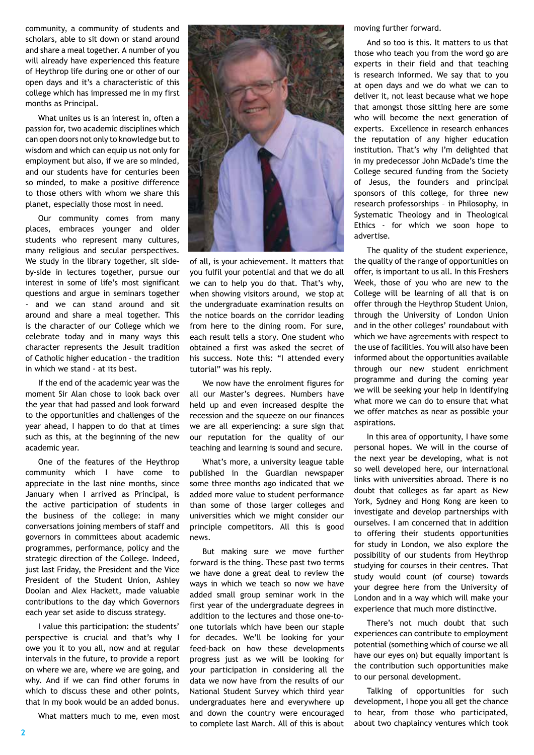community, a community of students and scholars, able to sit down or stand around and share a meal together. A number of you will already have experienced this feature of Heythrop life during one or other of our open days and it's a characteristic of this college which has impressed me in my first months as Principal.

What unites us is an interest in, often a passion for, two academic disciplines which can open doors not only to knowledge but to wisdom and which can equip us not only for employment but also, if we are so minded, and our students have for centuries been so minded, to make a positive difference to those others with whom we share this planet, especially those most in need.

Our community comes from many places, embraces younger and older students who represent many cultures, many religious and secular perspectives. We study in the library together, sit sideby-side in lectures together, pursue our interest in some of life's most significant questions and argue in seminars together - and we can stand around and sit around and share a meal together. This is the character of our College which we celebrate today and in many ways this character represents the Jesuit tradition of Catholic higher education – the tradition in which we stand - at its best.

If the end of the academic year was the moment Sir Alan chose to look back over the year that had passed and look forward to the opportunities and challenges of the year ahead, I happen to do that at times such as this, at the beginning of the new academic year.

One of the features of the Heythrop community which I have come to appreciate in the last nine months, since January when I arrived as Principal, is the active participation of students in the business of the college: in many conversations joining members of staff and governors in committees about academic programmes, performance, policy and the strategic direction of the College. Indeed, just last Friday, the President and the Vice President of the Student Union, Ashley Doolan and Alex Hackett, made valuable contributions to the day which Governors each year set aside to discuss strategy.

I value this participation: the students' perspective is crucial and that's why I owe you it to you all, now and at regular intervals in the future, to provide a report on where we are, where we are going, and why. And if we can find other forums in which to discuss these and other points, that in my book would be an added bonus.

What matters much to me, even most



of all, is your achievement. It matters that you fulfil your potential and that we do all we can to help you do that. That's why, when showing visitors around, we stop at the undergraduate examination results on the notice boards on the corridor leading from here to the dining room. For sure, each result tells a story. One student who obtained a first was asked the secret of his success. Note this: "I attended every tutorial" was his reply.

We now have the enrolment figures for all our Master's degrees. Numbers have held up and even increased despite the recession and the squeeze on our finances we are all experiencing: a sure sign that our reputation for the quality of our teaching and learning is sound and secure.

What's more, a university league table published in the Guardian newspaper some three months ago indicated that we added more value to student performance than some of those larger colleges and universities which we might consider our principle competitors. All this is good news.

But making sure we move further forward is the thing. These past two terms we have done a great deal to review the ways in which we teach so now we have added small group seminar work in the first year of the undergraduate degrees in addition to the lectures and those one-toone tutorials which have been our staple for decades. We'll be looking for your feed-back on how these developments progress just as we will be looking for your participation in considering all the data we now have from the results of our National Student Survey which third year undergraduates here and everywhere up and down the country were encouraged to complete last March. All of this is about moving further forward.

And so too is this. It matters to us that those who teach you from the word go are experts in their field and that teaching is research informed. We say that to you at open days and we do what we can to deliver it, not least because what we hope that amongst those sitting here are some who will become the next generation of experts. Excellence in research enhances the reputation of any higher education institution. That's why I'm delighted that in my predecessor John McDade's time the College secured funding from the Society of Jesus, the founders and principal sponsors of this college, for three new research professorships – in Philosophy, in Systematic Theology and in Theological Ethics - for which we soon hope to advertise.

The quality of the student experience, the quality of the range of opportunities on offer, is important to us all. In this Freshers Week, those of you who are new to the College will be learning of all that is on offer through the Heythrop Student Union, through the University of London Union and in the other colleges' roundabout with which we have agreements with respect to the use of facilities. You will also have been informed about the opportunities available through our new student enrichment programme and during the coming year we will be seeking your help in identifying what more we can do to ensure that what we offer matches as near as possible your aspirations.

In this area of opportunity, I have some personal hopes. We will in the course of the next year be developing, what is not so well developed here, our international links with universities abroad. There is no doubt that colleges as far apart as New York, Sydney and Hong Kong are keen to investigate and develop partnerships with ourselves. I am concerned that in addition to offering their students opportunities for study in London, we also explore the possibility of our students from Heythrop studying for courses in their centres. That study would count (of course) towards your degree here from the University of London and in a way which will make your experience that much more distinctive.

There's not much doubt that such experiences can contribute to employment potential (something which of course we all have our eyes on) but equally important is the contribution such opportunities make to our personal development.

Talking of opportunities for such development, I hope you all get the chance to hear, from those who participated, about two chaplaincy ventures which took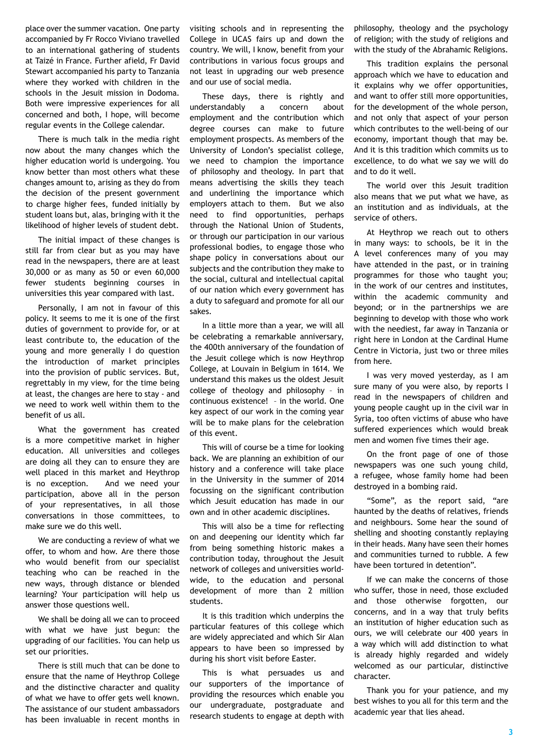place over the summer vacation. One party accompanied by Fr Rocco Viviano travelled to an international gathering of students at Taizé in France. Further afield, Fr David Stewart accompanied his party to Tanzania where they worked with children in the schools in the Jesuit mission in Dodoma. Both were impressive experiences for all concerned and both, I hope, will become regular events in the College calendar.

There is much talk in the media right now about the many changes which the higher education world is undergoing. You know better than most others what these changes amount to, arising as they do from the decision of the present government to charge higher fees, funded initially by student loans but, alas, bringing with it the likelihood of higher levels of student debt.

The initial impact of these changes is still far from clear but as you may have read in the newspapers, there are at least 30,000 or as many as 50 or even 60,000 fewer students beginning courses in universities this year compared with last.

Personally, I am not in favour of this policy. It seems to me it is one of the first duties of government to provide for, or at least contribute to, the education of the young and more generally I do question the introduction of market principles into the provision of public services. But, regrettably in my view, for the time being at least, the changes are here to stay - and we need to work well within them to the benefit of us all.

What the government has created is a more competitive market in higher education. All universities and colleges are doing all they can to ensure they are well placed in this market and Heythrop is no exception. And we need your participation, above all in the person of your representatives, in all those conversations in those committees, to make sure we do this well.

We are conducting a review of what we offer, to whom and how. Are there those who would benefit from our specialist teaching who can be reached in the new ways, through distance or blended learning? Your participation will help us answer those questions well.

We shall be doing all we can to proceed with what we have just begun: the upgrading of our facilities. You can help us set our priorities.

There is still much that can be done to ensure that the name of Heythrop College and the distinctive character and quality of what we have to offer gets well known. The assistance of our student ambassadors has been invaluable in recent months in visiting schools and in representing the College in UCAS fairs up and down the country. We will, I know, benefit from your contributions in various focus groups and not least in upgrading our web presence and our use of social media.

These days, there is rightly and understandably a concern about employment and the contribution which degree courses can make to future employment prospects. As members of the University of London's specialist college, we need to champion the importance of philosophy and theology. In part that means advertising the skills they teach and underlining the importance which employers attach to them. But we also need to find opportunities, perhaps through the National Union of Students, or through our participation in our various professional bodies, to engage those who shape policy in conversations about our subjects and the contribution they make to the social, cultural and intellectual capital of our nation which every government has a duty to safeguard and promote for all our sakes.

In a little more than a year, we will all be celebrating a remarkable anniversary, the 400th anniversary of the foundation of the Jesuit college which is now Heythrop College, at Louvain in Belgium in 1614. We understand this makes us the oldest Jesuit college of theology and philosophy – in continuous existence! – in the world. One key aspect of our work in the coming year will be to make plans for the celebration of this event.

This will of course be a time for looking back. We are planning an exhibition of our history and a conference will take place in the University in the summer of 2014 focussing on the significant contribution which Jesuit education has made in our own and in other academic disciplines.

This will also be a time for reflecting on and deepening our identity which far from being something historic makes a contribution today, throughout the Jesuit network of colleges and universities worldwide, to the education and personal development of more than 2 million students.

It is this tradition which underpins the particular features of this college which are widely appreciated and which Sir Alan appears to have been so impressed by during his short visit before Easter.

This is what persuades us and our supporters of the importance of providing the resources which enable you our undergraduate, postgraduate and research students to engage at depth with philosophy, theology and the psychology of religion; with the study of religions and with the study of the Abrahamic Religions.

This tradition explains the personal approach which we have to education and it explains why we offer opportunities, and want to offer still more opportunities, for the development of the whole person, and not only that aspect of your person which contributes to the well-being of our economy, important though that may be. And it is this tradition which commits us to excellence, to do what we say we will do and to do it well.

The world over this Jesuit tradition also means that we put what we have, as an institution and as individuals, at the service of others.

At Heythrop we reach out to others in many ways: to schools, be it in the A level conferences many of you may have attended in the past, or in training programmes for those who taught you; in the work of our centres and institutes, within the academic community and beyond; or in the partnerships we are beginning to develop with those who work with the neediest, far away in Tanzania or right here in London at the Cardinal Hume Centre in Victoria, just two or three miles from here.

I was very moved yesterday, as I am sure many of you were also, by reports I read in the newspapers of children and young people caught up in the civil war in Syria, too often victims of abuse who have suffered experiences which would break men and women five times their age.

On the front page of one of those newspapers was one such young child, a refugee, whose family home had been destroyed in a bombing raid.

"Some", as the report said, "are haunted by the deaths of relatives, friends and neighbours. Some hear the sound of shelling and shooting constantly replaying in their heads. Many have seen their homes and communities turned to rubble. A few have been tortured in detention".

If we can make the concerns of those who suffer, those in need, those excluded and those otherwise forgotten, our concerns, and in a way that truly befits an institution of higher education such as ours, we will celebrate our 400 years in a way which will add distinction to what is already highly regarded and widely welcomed as our particular, distinctive character.

Thank you for your patience, and my best wishes to you all for this term and the academic year that lies ahead.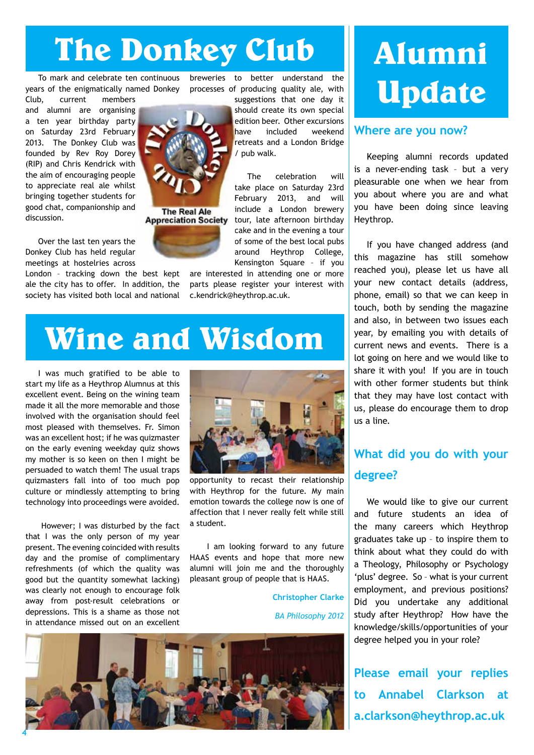### **The Donkey Club**

To mark and celebrate ten continuous years of the enigmatically named Donkey

Club, current members and alumni are organising a ten year birthday party on Saturday 23rd February 2013. The Donkey Club was founded by Rev Roy Dorey (RIP) and Chris Kendrick with the aim of encouraging people to appreciate real ale whilst bringing together students for good chat, companionship and discussion.

Over the last ten years the Donkey Club has held regular meetings at hostelries across

London – tracking down the best kept ale the city has to offer. In addition, the society has visited both local and national breweries to better understand the processes of producing quality ale, with

suggestions that one day it should create its own special edition beer. Other excursions have included weekend retreats and a London Bridge / pub walk.

The celebration will take place on Saturday 23rd February 2013, and will include a London brewery tour, late afternoon birthday cake and in the evening a tour of some of the best local pubs around Heythrop College, Kensington Square – if you

are interested in attending one or more parts please register your interest with c.kendrick@heythrop.ac.uk.

#### **Wine and Wisdom**

I was much gratified to be able to start my life as a Heythrop Alumnus at this excellent event. Being on the wining team made it all the more memorable and those involved with the organisation should feel most pleased with themselves. Fr. Simon was an excellent host; if he was quizmaster on the early evening weekday quiz shows my mother is so keen on then I might be persuaded to watch them! The usual traps quizmasters fall into of too much pop culture or mindlessly attempting to bring technology into proceedings were avoided.

 However; I was disturbed by the fact that I was the only person of my year present. The evening coincided with results day and the promise of complimentary refreshments (of which the quality was good but the quantity somewhat lacking) was clearly not enough to encourage folk away from post-result celebrations or depressions. This is a shame as those not in attendance missed out on an excellent



opportunity to recast their relationship with Heythrop for the future. My main emotion towards the college now is one of affection that I never really felt while still a student.

 I am looking forward to any future HAAS events and hope that more new alumni will join me and the thoroughly pleasant group of people that is HAAS.

> **Christopher Clarke** *BA Philosophy 2012*



### **Alumni Update**

#### **Where are you now?**

Keeping alumni records updated is a never-ending task – but a very pleasurable one when we hear from you about where you are and what you have been doing since leaving Heythrop.

If you have changed address (and this magazine has still somehow reached you), please let us have all your new contact details (address, phone, email) so that we can keep in touch, both by sending the magazine and also, in between two issues each year, by emailing you with details of current news and events. There is a lot going on here and we would like to share it with you! If you are in touch with other former students but think that they may have lost contact with us, please do encourage them to drop us a line.

#### **What did you do with your degree?**

We would like to give our current and future students an idea of the many careers which Heythrop graduates take up – to inspire them to think about what they could do with a Theology, Philosophy or Psychology 'plus' degree. So – what is your current employment, and previous positions? Did you undertake any additional study after Heythrop? How have the knowledge/skills/opportunities of your degree helped you in your role?

**Please email your replies to Annabel Clarkson at a.clarkson@heythrop.ac.uk**



**Appreciation Society**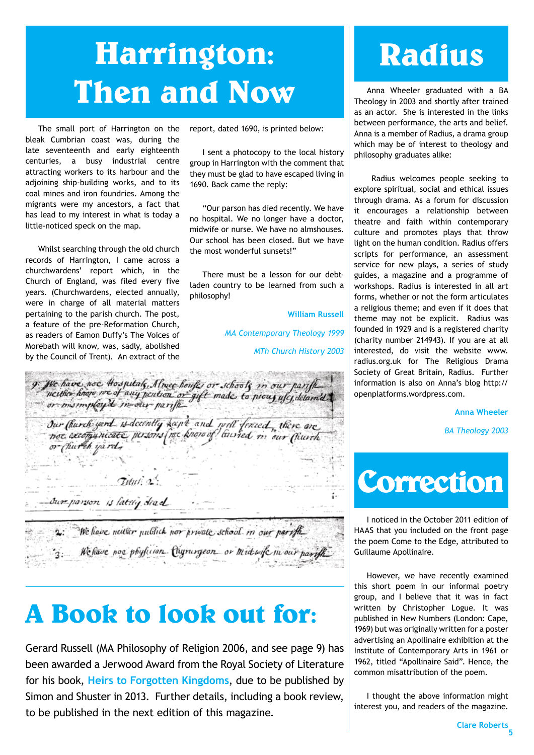### **Harrington: Then and Now** Anna Wheeler graduated with a BA

The small port of Harrington on the bleak Cumbrian coast was, during the late seventeenth and early eighteenth centuries, a busy industrial centre attracting workers to its harbour and the adjoining ship-building works, and to its coal mines and iron foundries. Among the migrants were my ancestors, a fact that has lead to my interest in what is today a little-noticed speck on the map.

Whilst searching through the old church records of Harrington, I came across a churchwardens' report which, in the Church of England, was filed every five years. (Churchwardens, elected annually, were in charge of all material matters pertaining to the parish church. The post, a feature of the pre-Reformation Church, as readers of Eamon Duffy's The Voices of Morebath will know, was, sadly, abolished by the Council of Trent). An extract of the report, dated 1690, is printed below:

I sent a photocopy to the local history group in Harrington with the comment that they must be glad to have escaped living in 1690. Back came the reply:

"Our parson has died recently. We have no hospital. We no longer have a doctor, midwife or nurse. We have no almshouses. Our school has been closed. But we have the most wonderful sunsets!"

There must be a lesson for our debtladen country to be learned from such a philosophy!

> **William Russell** *MA Contemporary Theology 1999 MTh Church History 2003*

9: We have not to spitals, Almer houses or schools in our parish Our Church-yard is decently hapt and will forced, there are or Church yard.  $Tutut$ :  $\infty$ Sure parson is lattly dead

2: We have neither publick nor private school in our partful '3: We have not phyluion Clynington or mid wife in our parish

#### **A Book to look out for:**

Gerard Russell (MA Philosophy of Religion 2006, and see page 9) has been awarded a Jerwood Award from the Royal Society of Literature for his book, **Heirs to Forgotten Kingdoms**, due to be published by Simon and Shuster in 2013. Further details, including a book review, to be published in the next edition of this magazine.

### **Radius**

Theology in 2003 and shortly after trained as an actor. She is interested in the links between performance, the arts and belief. Anna is a member of Radius, a drama group which may be of interest to theology and philosophy graduates alike:

 Radius welcomes people seeking to explore spiritual, social and ethical issues through drama. As a forum for discussion it encourages a relationship between theatre and faith within contemporary culture and promotes plays that throw light on the human condition. Radius offers scripts for performance, an assessment service for new plays, a series of study guides, a magazine and a programme of workshops. Radius is interested in all art forms, whether or not the form articulates a religious theme; and even if it does that theme may not be explicit. Radius was founded in 1929 and is a registered charity (charity number 214943). If you are at all interested, do visit the website www. radius.org.uk for The Religious Drama Society of Great Britain, Radius. Further information is also on Anna's blog http:// openplatforms.wordpress.com.

**Anna Wheeler**

*BA Theology 2003*



I noticed in the October 2011 edition of HAAS that you included on the front page the poem Come to the Edge, attributed to Guillaume Apollinaire.

However, we have recently examined this short poem in our informal poetry group, and I believe that it was in fact written by Christopher Logue. It was published in New Numbers (London: Cape, 1969) but was originally written for a poster advertising an Apollinaire exhibition at the Institute of Contemporary Arts in 1961 or 1962, titled "Apollinaire Said". Hence, the common misattribution of the poem.

I thought the above information might interest you, and readers of the magazine.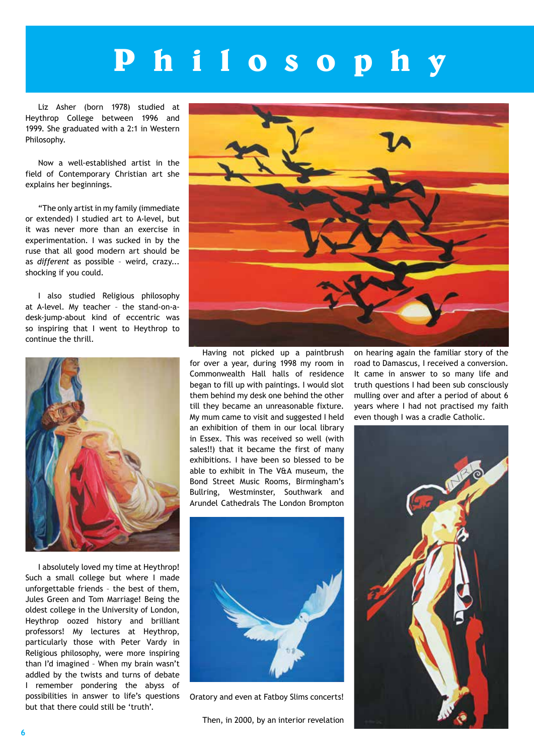### **P h i l o s o p h y**

Liz Asher (born 1978) studied at Heythrop College between 1996 and 1999. She graduated with a 2:1 in Western Philosophy.

Now a well-established artist in the field of Contemporary Christian art she explains her beginnings.

"The only artist in my family (immediate or extended) I studied art to A-level, but it was never more than an exercise in experimentation. I was sucked in by the ruse that all good modern art should be as *different* as possible – weird, crazy... shocking if you could.

I also studied Religious philosophy at A-level. My teacher – the stand-on-adesk-jump-about kind of eccentric was so inspiring that I went to Heythrop to continue the thrill.



I absolutely loved my time at Heythrop! Such a small college but where I made unforgettable friends – the best of them, Jules Green and Tom Marriage! Being the oldest college in the University of London, Heythrop oozed history and brilliant professors! My lectures at Heythrop, particularly those with Peter Vardy in Religious philosophy, were more inspiring than I'd imagined – When my brain wasn't addled by the twists and turns of debate I remember pondering the abyss of possibilities in answer to life's questions but that there could still be 'truth'.



Having not picked up a paintbrush for over a year, during 1998 my room in Commonwealth Hall halls of residence began to fill up with paintings. I would slot them behind my desk one behind the other till they became an unreasonable fixture. My mum came to visit and suggested I held an exhibition of them in our local library in Essex. This was received so well (with sales!!) that it became the first of many exhibitions. I have been so blessed to be able to exhibit in The V&A museum, the Bond Street Music Rooms, Birmingham's Bullring, Westminster, Southwark and Arundel Cathedrals The London Brompton



Oratory and even at Fatboy Slims concerts!

Then, in 2000, by an interior revelation

on hearing again the familiar story of the road to Damascus, I received a conversion. It came in answer to so many life and truth questions I had been sub consciously mulling over and after a period of about 6 years where I had not practised my faith even though I was a cradle Catholic.

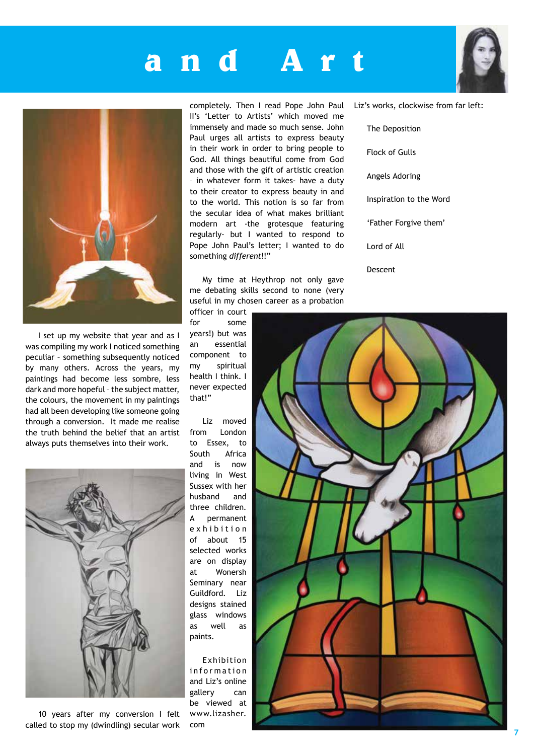#### **a n d A**



I set up my website that year and as I was compiling my work I noticed something peculiar – something subsequently noticed by many others. Across the years, my paintings had become less sombre, less dark and more hopeful – the subject matter, the colours, the movement in my paintings had all been developing like someone going through a conversion. It made me realise the truth behind the belief that an artist always puts themselves into their work.



10 years after my conversion I felt called to stop my (dwindling) secular work

completely. Then I read Pope John Paul II's 'Letter to Artists' which moved me immensely and made so much sense. John Paul urges all artists to express beauty in their work in order to bring people to God. All things beautiful come from God and those with the gift of artistic creation – in whatever form it takes- have a duty to their creator to express beauty in and to the world. This notion is so far from the secular idea of what makes brilliant modern art -the grotesque featuring regularly- but I wanted to respond to Pope John Paul's letter; I wanted to do something *different*!!"

My time at Heythrop not only gave me debating skills second to none (very useful in my chosen career as a probation

officer in court for some years!) but was an essential component to my spiritual health I think. I never expected that!"

Liz moved from London to Essex, to South Africa and is now living in West Sussex with her husband and three children. A permanent e x h i b i t i o n of about 15 selected works are on display at Wonersh Seminary near Guildford. Liz designs stained glass windows as well as paints.

Exhibition information and Liz's online gallery can be viewed at www.lizasher. com



Liz's works, clockwise from far left:

The Deposition Flock of Gulls Angels Adoring Inspiration to the Word 'Father Forgive them' Lord of All Descent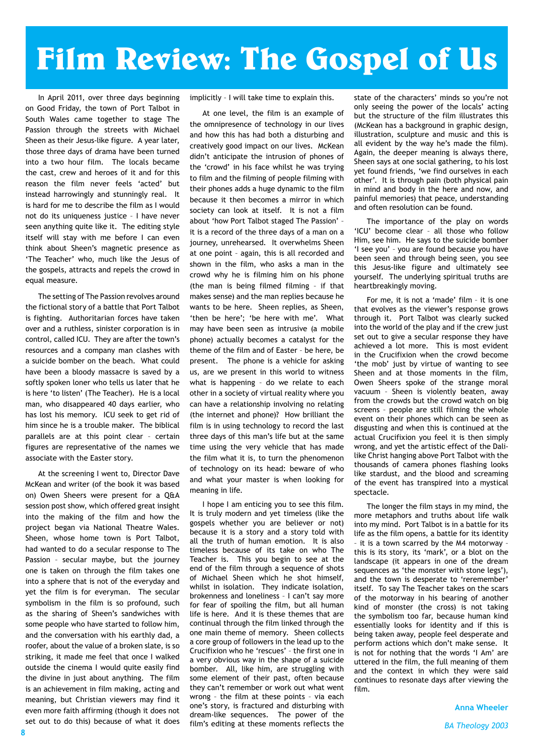### **Film Review: The Gospel of Us**

In April 2011, over three days beginning on Good Friday, the town of Port Talbot in South Wales came together to stage The Passion through the streets with Michael Sheen as their Jesus-like figure. A year later, those three days of drama have been turned into a two hour film. The locals became the cast, crew and heroes of it and for this reason the film never feels 'acted' but instead harrowingly and stunningly real. It is hard for me to describe the film as I would not do its uniqueness justice – I have never seen anything quite like it. The editing style itself will stay with me before I can even think about Sheen's magnetic presence as 'The Teacher' who, much like the Jesus of the gospels, attracts and repels the crowd in equal measure.

The setting of The Passion revolves around the fictional story of a battle that Port Talbot is fighting. Authoritarian forces have taken over and a ruthless, sinister corporation is in control, called ICU. They are after the town's resources and a company man clashes with a suicide bomber on the beach. What could have been a bloody massacre is saved by a softly spoken loner who tells us later that he is here 'to listen' (The Teacher). He is a local man, who disappeared 40 days earlier, who has lost his memory. ICU seek to get rid of him since he is a trouble maker. The biblical parallels are at this point clear – certain figures are representative of the names we associate with the Easter story.

At the screening I went to, Director Dave McKean and writer (of the book it was based on) Owen Sheers were present for a Q&A session post show, which offered great insight into the making of the film and how the project began via National Theatre Wales. Sheen, whose home town is Port Talbot, had wanted to do a secular response to The Passion – secular maybe, but the journey one is taken on through the film takes one into a sphere that is not of the everyday and yet the film is for everyman. The secular symbolism in the film is so profound, such as the sharing of Sheen's sandwiches with some people who have started to follow him, and the conversation with his earthly dad, a roofer, about the value of a broken slate, is so striking, it made me feel that once I walked outside the cinema I would quite easily find the divine in just about anything. The film is an achievement in film making, acting and meaning, but Christian viewers may find it even more faith affirming (though it does not set out to do this) because of what it does

implicitly – I will take time to explain this.

At one level, the film is an example of the omnipresence of technology in our lives and how this has had both a disturbing and creatively good impact on our lives. McKean didn't anticipate the intrusion of phones of the 'crowd' in his face whilst he was trying to film and the filming of people filming with their phones adds a huge dynamic to the film because it then becomes a mirror in which society can look at itself. It is not a film about 'how Port Talbot staged The Passion' – it is a record of the three days of a man on a journey, unrehearsed. It overwhelms Sheen at one point – again, this is all recorded and shown in the film, who asks a man in the crowd why he is filming him on his phone (the man is being filmed filming – if that makes sense) and the man replies because he wants to be here. Sheen replies, as Sheen, 'then be here'; 'be here with me'. What may have been seen as intrusive (a mobile phone) actually becomes a catalyst for the theme of the film and of Easter – be here, be present. The phone is a vehicle for asking us, are we present in this world to witness what is happening – do we relate to each other in a society of virtual reality where you can have a relationship involving no relating (the internet and phone)? How brilliant the film is in using technology to record the last three days of this man's life but at the same time using the very vehicle that has made the film what it is, to turn the phenomenon of technology on its head: beware of who and what your master is when looking for meaning in life.

I hope I am enticing you to see this film. It is truly modern and yet timeless (like the gospels whether you are believer or not) because it is a story and a story told with all the truth of human emotion. It is also timeless because of its take on who The Teacher is. This you begin to see at the end of the film through a sequence of shots of Michael Sheen which he shot himself, whilst in isolation. They indicate isolation, brokenness and loneliness – I can't say more for fear of spoiling the film, but all human life is here. And it is these themes that are continual through the film linked through the one main theme of memory. Sheen collects a core group of followers in the lead up to the Crucifixion who he 'rescues' – the first one in a very obvious way in the shape of a suicide bomber. All, like him, are struggling with some element of their past, often because they can't remember or work out what went wrong – the film at these points – via each one's story, is fractured and disturbing with dream-like sequences. The power of the film's editing at these moments reflects the

state of the characters' minds so you're not only seeing the power of the locals' acting but the structure of the film illustrates this (McKean has a background in graphic design, illustration, sculpture and music and this is all evident by the way he's made the film). Again, the deeper meaning is always there, Sheen says at one social gathering, to his lost yet found friends, 'we find ourselves in each other'. It is through pain (both physical pain in mind and body in the here and now, and painful memories) that peace, understanding and often resolution can be found.

The importance of the play on words 'ICU' become clear – all those who follow Him, see him. He says to the suicide bomber 'I see you' – you are found because you have been seen and through being seen, you see this Jesus-like figure and ultimately see yourself. The underlying spiritual truths are heartbreakingly moving.

For me, it is not a 'made' film – it is one that evolves as the viewer's response grows through it. Port Talbot was clearly sucked into the world of the play and if the crew just set out to give a secular response they have achieved a lot more. This is most evident in the Crucifixion when the crowd become 'the mob' just by virtue of wanting to see Sheen and at those moments in the film, Owen Sheers spoke of the strange moral vacuum – Sheen is violently beaten, away from the crowds but the crowd watch on big screens – people are still filming the whole event on their phones which can be seen as disgusting and when this is continued at the actual Crucifixion you feel it is then simply wrong, and yet the artistic effect of the Dalilike Christ hanging above Port Talbot with the thousands of camera phones flashing looks like stardust, and the blood and screaming of the event has transpired into a mystical spectacle.

The longer the film stays in my mind, the more metaphors and truths about life walk into my mind. Port Talbot is in a battle for its life as the film opens, a battle for its identity – it is a town scarred by the M4 motorway – this is its story, its 'mark', or a blot on the landscape (it appears in one of the dream sequences as 'the monster with stone legs'), and the town is desperate to 'reremember' itself. To say The Teacher takes on the scars of the motorway in his bearing of another kind of monster (the cross) is not taking the symbolism too far, because human kind essentially looks for identity and if this is being taken away, people feel desperate and perform actions which don't make sense. It is not for nothing that the words 'I Am' are uttered in the film, the full meaning of them and the context in which they were said continues to resonate days after viewing the film.

**Anna Wheeler**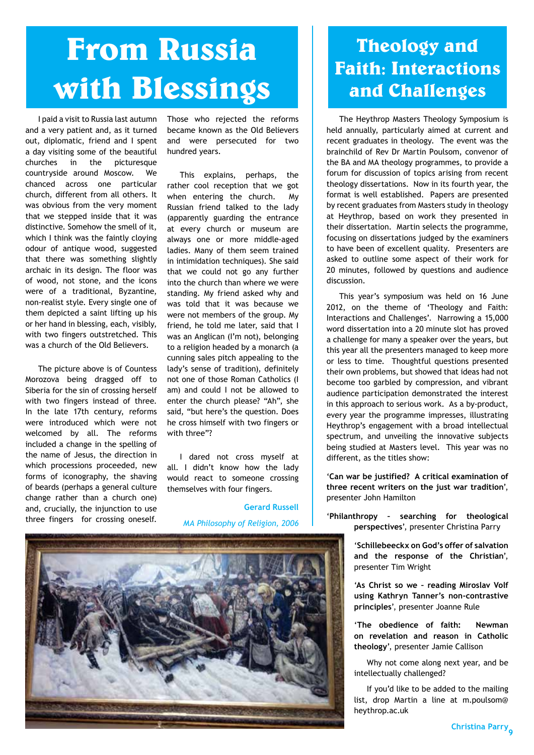### **From Russia with Blessings**

I paid a visit to Russia last autumn and a very patient and, as it turned out, diplomatic, friend and I spent a day visiting some of the beautiful churches in the picturesque countryside around Moscow. We chanced across one particular church, different from all others. It was obvious from the very moment that we stepped inside that it was distinctive. Somehow the smell of it, which I think was the faintly cloying odour of antique wood, suggested that there was something slightly archaic in its design. The floor was of wood, not stone, and the icons were of a traditional, Byzantine, non-realist style. Every single one of them depicted a saint lifting up his or her hand in blessing, each, visibly, with two fingers outstretched. This was a church of the Old Believers.

The picture above is of Countess Morozova being dragged off to Siberia for the sin of crossing herself with two fingers instead of three. In the late 17th century, reforms were introduced which were not welcomed by all. The reforms included a change in the spelling of the name of Jesus, the direction in which processions proceeded, new forms of iconography, the shaving of beards (perhaps a general culture change rather than a church one) and, crucially, the injunction to use three fingers for crossing oneself.

Those who rejected the reforms became known as the Old Believers and were persecuted for two hundred years.

This explains, perhaps, the rather cool reception that we got when entering the church. My Russian friend talked to the lady (apparently guarding the entrance at every church or museum are always one or more middle-aged ladies. Many of them seem trained in intimidation techniques). She said that we could not go any further into the church than where we were standing. My friend asked why and was told that it was because we were not members of the group. My friend, he told me later, said that I was an Anglican (I'm not), belonging to a religion headed by a monarch (a cunning sales pitch appealing to the lady's sense of tradition), definitely not one of those Roman Catholics (I am) and could I not be allowed to enter the church please? "Ah", she said, "but here's the question. Does he cross himself with two fingers or with three"?

I dared not cross myself at all. I didn't know how the lady would react to someone crossing themselves with four fingers.

#### **Gerard Russell**

*MA Philosophy of Religion, 2006*



#### **Theology and Faith: Interactions and Challenges**

The Heythrop Masters Theology Symposium is held annually, particularly aimed at current and recent graduates in theology. The event was the brainchild of Rev Dr Martin Poulsom, convenor of the BA and MA theology programmes, to provide a forum for discussion of topics arising from recent theology dissertations. Now in its fourth year, the format is well established. Papers are presented by recent graduates from Masters study in theology at Heythrop, based on work they presented in their dissertation. Martin selects the programme, focusing on dissertations judged by the examiners to have been of excellent quality. Presenters are asked to outline some aspect of their work for 20 minutes, followed by questions and audience discussion.

This year's symposium was held on 16 June 2012, on the theme of 'Theology and Faith: Interactions and Challenges'. Narrowing a 15,000 word dissertation into a 20 minute slot has proved a challenge for many a speaker over the years, but this year all the presenters managed to keep more or less to time. Thoughtful questions presented their own problems, but showed that ideas had not become too garbled by compression, and vibrant audience participation demonstrated the interest in this approach to serious work. As a by-product, every year the programme impresses, illustrating Heythrop's engagement with a broad intellectual spectrum, and unveiling the innovative subjects being studied at Masters level. This year was no different, as the titles show:

'**Can war be justified? A critical examination of three recent writers on the just war tradition**', presenter John Hamilton

'**Philanthropy – searching for theological perspectives**', presenter Christina Parry

> '**Schillebeeckx on God's offer of salvation and the response of the Christian**', presenter Tim Wright

> '**As Christ so we – reading Miroslav Volf using Kathryn Tanner's non-contrastive principles**', presenter Joanne Rule

> '**The obedience of faith: Newman on revelation and reason in Catholic theology**', presenter Jamie Callison

> Why not come along next year, and be intellectually challenged?

> If you'd like to be added to the mailing list, drop Martin a line at m.poulsom@ heythrop.ac.uk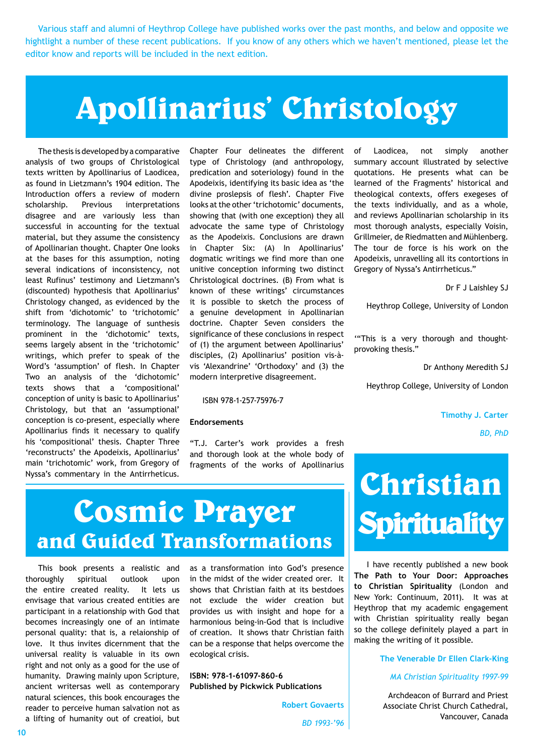Various staff and alumni of Heythrop College have published works over the past months, and below and opposite we hightlight a number of these recent publications. If you know of any others which we haven't mentioned, please let the editor know and reports will be included in the next edition.

#### **Apollinarius' Christology**

The thesis is developed by a comparative analysis of two groups of Christological texts written by Apollinarius of Laodicea, as found in Lietzmann's 1904 edition. The Introduction offers a review of modern scholarship. Previous interpretations disagree and are variously less than successful in accounting for the textual material, but they assume the consistency of Apollinarian thought. Chapter One looks at the bases for this assumption, noting several indications of inconsistency, not least Rufinus' testimony and Lietzmann's (discounted) hypothesis that Apollinarius' Christology changed, as evidenced by the shift from 'dichotomic' to 'trichotomic' terminology. The language of sunthesis prominent in the 'dichotomic' texts, seems largely absent in the 'trichotomic' writings, which prefer to speak of the Word's 'assumption' of flesh. In Chapter Two an analysis of the 'dichotomic' texts shows that a 'compositional' conception of unity is basic to Apollinarius' Christology, but that an 'assumptional' conception is co-present, especially where Apollinarius finds it necessary to qualify his 'compositional' thesis. Chapter Three 'reconstructs' the Apodeixis, Apollinarius' main 'trichotomic' work, from Gregory of Nyssa's commentary in the Antirrheticus.

Chapter Four delineates the different type of Christology (and anthropology, predication and soteriology) found in the Apodeixis, identifying its basic idea as 'the divine proslepsis of flesh'. Chapter Five looks at the other 'trichotomic' documents, showing that (with one exception) they all advocate the same type of Christology as the Apodeixis. Conclusions are drawn in Chapter Six: (A) In Apollinarius' dogmatic writings we find more than one unitive conception informing two distinct Christological doctrines. (B) From what is known of these writings' circumstances it is possible to sketch the process of a genuine development in Apollinarian doctrine. Chapter Seven considers the significance of these conclusions in respect of (1) the argument between Apollinarius' disciples, (2) Apollinarius' position vis-àvis 'Alexandrine' 'Orthodoxy' and (3) the modern interpretive disagreement.

ISBN 978-1-257-75976-7

#### **Endorsements**

"T.J. Carter's work provides a fresh and thorough look at the whole body of fragments of the works of Apollinarius of Laodicea, not simply another summary account illustrated by selective quotations. He presents what can be learned of the Fragments' historical and theological contexts, offers exegeses of the texts individually, and as a whole, and reviews Apollinarian scholarship in its most thorough analysts, especially Voisin, Grillmeier, de Riedmatten and Mühlenberg. The tour de force is his work on the Apodeixis, unravelling all its contortions in Gregory of Nyssa's Antirrheticus."

Dr F J Laishley SJ

Heythrop College, University of London

'"This is a very thorough and thoughtprovoking thesis."

Dr Anthony Meredith SJ

Heythrop College, University of London

**Timothy J. Carter**

*BD, PhD*

#### **Cosmic Prayer and Guided Transformations**

This book presents a realistic and thoroughly spiritual outlook upon the entire created reality. It lets us envisage that various created entities are participant in a relationship with God that becomes increasingly one of an intimate personal quality: that is, a relaionship of love. It thus invites dicernment that the universal reality is valuable in its own right and not only as a good for the use of humanity. Drawing mainly upon Scripture, ancient writersas well as contemporary natural sciences, this book encourages the reader to perceive human salvation not as a lifting of humanity out of creatioi, but

as a transformation into God's presence in the midst of the wider created orer. It shows that Christian faith at its bestdoes not exclude the wider creation but provides us with insight and hope for a harmonious being-in-God that is includive of creation. It shows thatr Christian faith can be a response that helps overcome the ecological crisis.

**ISBN: 978-1-61097-860-6 Published by Pickwick Publications**

> **Robert Govaerts** *BD 1993-'96*



I have recently published a new book **The Path to Your Door: Approaches to Christian Spirituality** (London and New York: Continuum, 2011). It was at Heythrop that my academic engagement with Christian spirituality really began so the college definitely played a part in making the writing of it possible.

**The Venerable Dr Ellen Clark-King**

*MA Christian Spirituality 1997-99*

Archdeacon of Burrard and Priest Associate Christ Church Cathedral, Vancouver, Canada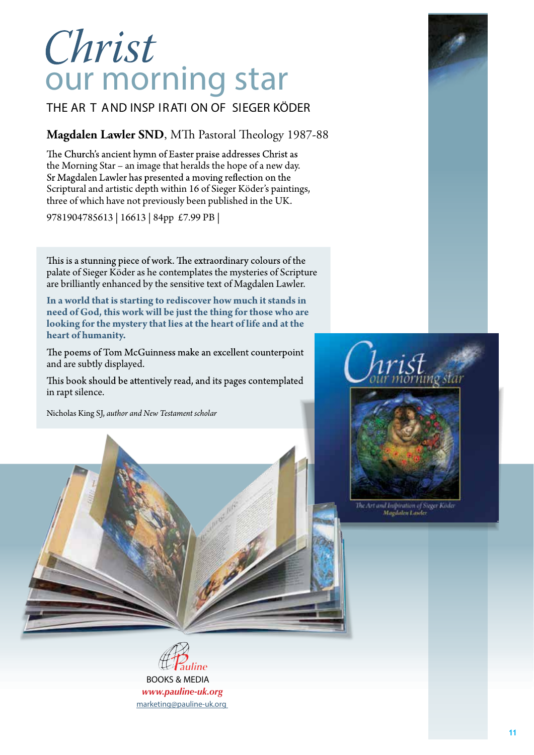# Christ<br>our morning star

THE AR T AND INSP IRATI ON OF SIEGER KÖDER

#### $\overline{M}$  and  $\overline{L}$ **Magdalen Lawler SND**, MTh Pastoral Theology 1987-88

The Church's ancient hymn of Easter praise addresses Christ as the Morning Star – an image that heralds the hope of a new day. Scriptural and artistic depth within 16 of Sieger Köder's paintings, three of which have not previously been published in the UK.

9781904785613 | 16613 | 84pp £7.99 PB |

This is a stunning piece of work. The extraordinary colours of the palate of Sieger Köder as he contemplates the mysteries of Scripture are brilliantly enhanced by the sensitive text of Magdalen Lawler.

**In a world that is starting to rediscover how much it stands in need of God, this work will be just the thing for those who are looking for the mystery that lies at the heart of life and at the heart of humanity.**

The poems of Tom McGuinness make an excellent counterpoint and are subtly displayed.

This book should be attentively read, and its pages contemplated in rapt silence.

9 781904 785613

*Amen*

OUR

STA

Nicholas King SJ, *author and New Testament scholar*

BOOKS & MEDIA *www.pauline-uk.org*





The Art and Inspiration of Sieger Köde<br>Magdalen Lawler

BOOKS & MEDIA *www.pauline-uk.org* marketing@pauline-uk.org